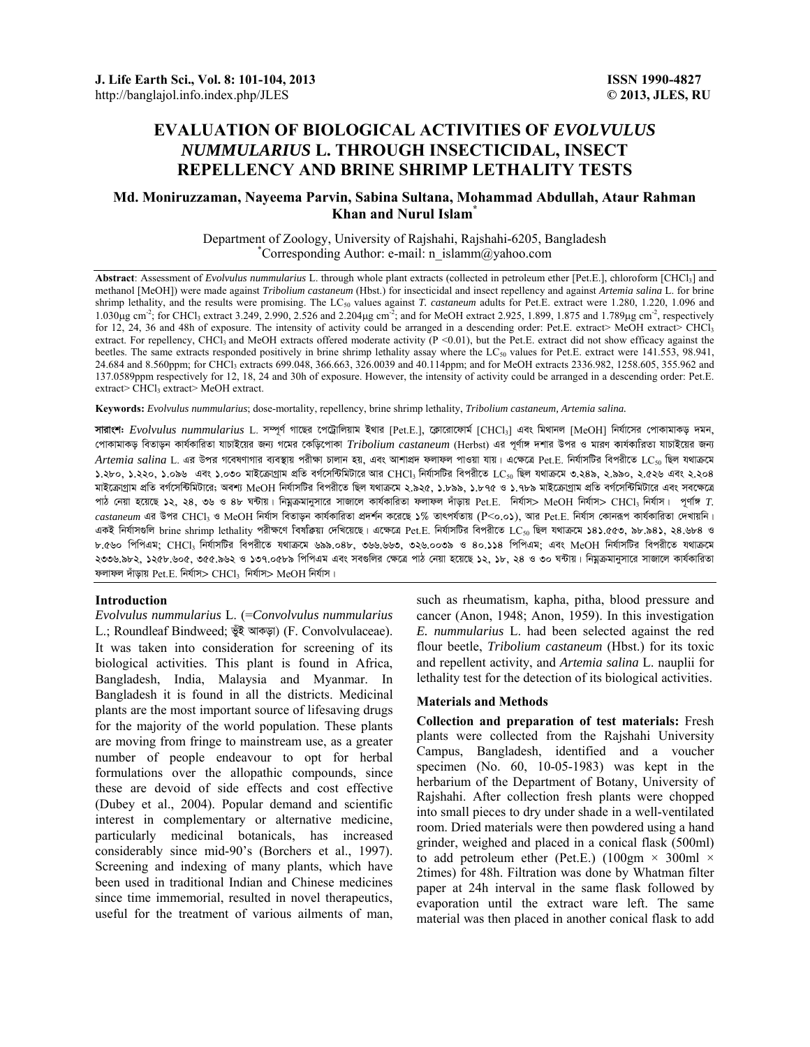# **EVALUATION OF BIOLOGICAL ACTIVITIES OF** *EVOLVULUS NUMMULARIUS* **L. THROUGH INSECTICIDAL, INSECT REPELLENCY AND BRINE SHRIMP LETHALITY TESTS**

# **Md. Moniruzzaman, Nayeema Parvin, Sabina Sultana, Mohammad Abdullah, Ataur Rahman Khan and Nurul Islam\***

Department of Zoology, University of Rajshahi, Rajshahi-6205, Bangladesh \* Corresponding Author: e-mail: n\_islamm@yahoo.com

**Abstract**: Assessment of *Evolvulus nummularius* L. through whole plant extracts (collected in petroleum ether [Pet.E.], chloroform [CHCl3] and methanol [MeOH]) were made against *Tribolium castaneum* (Hbst.) for insecticidal and insect repellency and against *Artemia salina* L. for brine shrimp lethality, and the results were promising. The LC<sub>50</sub> values against *T. castaneum* adults for Pet.E. extract were 1.280, 1.220, 1.096 and 1.030 $\mu$ g cm<sup>-2</sup>; for CHCl<sub>3</sub> extract 3.249, 2.990, 2.526 and 2.204 $\mu$ g cm<sup>-2</sup>; and for MeOH extract 2.925, 1.899, 1.875 and 1.789 $\mu$ g cm<sup>-2</sup>, respectively for 12, 24, 36 and 48h of exposure. The intensity of activity could be arranged in a descending order: Pet.E. extract> MeOH extract> CHCl<sub>3</sub> extract. For repellency, CHCl<sub>3</sub> and MeOH extracts offered moderate activity (P <0.01), but the Pet.E. extract did not show efficacy against the beetles. The same extracts responded positively in brine shrimp lethality assay where the LC<sub>50</sub> values for Pet.E. extract were 141.553, 98.941, 24.684 and 8.560ppm; for CHCl3 extracts 699.048, 366.663, 326.0039 and 40.114ppm; and for MeOH extracts 2336.982, 1258.605, 355.962 and 137.0589ppm respectively for 12, 18, 24 and 30h of exposure. However, the intensity of activity could be arranged in a descending order: Pet.E. extract> CHCl<sub>3</sub> extract> MeOH extract.

**Keywords:** *Evolvulus nummularius*; dose-mortality, repellency, brine shrimp lethality, *Tribolium castaneum, Artemia salina.* 

**সারাংশ:** *Evolvulus nummularius* L. সম্পূর্ণ গাছের পেট্রোলিয়াম ইথার [Pet.E.], ক্লোরোফোর্ম [CHCl<sub>3</sub>] এবং মিথানল [MeOH] নির্যাসের পোকামাকড় দমন, পোকামাকড় বিতাড়ন কাৰ্যকারিতা যাচাইয়ের জন্য গমের কেড়িপোকা *Tribolium castaneum* (Herbst) এর পূর্ণাঙ্গ দশার উপর ও মারণ কার্যকারিতা যাচাইয়ের জন্য *Artemia salina* L. এর উপর গবেষণাগার ব্যবস্থায় পরীক্ষা চালান হয়, এবং আশাপ্রদ ফলাফল পাওয়া যায়। এক্ষেত্রে Pet.E. নির্যাসটির বিপরীতে LC<sub>50</sub> ছিল যথাক্রমে ১.২৮০, ১.২২০, ১.০৯৬ এবং ১.০৩০ মাইক্রোগ্রাম প্রতি বর্গসেন্টিমিটারে আর CHCl3 নির্যাসটির বিপরীতে LC<sub>50</sub> ছিল যথাক্রমে ৩.২৪৯, ২.৯৯০, ২.৫২৬ এবং ২.২০৪ মাইক্ৰোগ্ৰাম প্ৰতি বৰ্গসেন্টিমিটারে; অবশ্য MeOH নিৰ্যাসটির বিপরীতে ছিল যথাক্ৰমে ২.৯২৫, ১.৮৯৯, ১.৮৭৫ ও ১.৭৮৯ মাইক্ৰোগ্ৰাম প্ৰতি বৰ্গসেন্টিমিটারে এবং সবক্ষেত্রে পাঠ নেয়া হয়েছে ১২, ২৪, ৩৬ ও ৪৮ ঘন্টায়। নিম্নক্ৰমানুসারে সাজালে কার্যকারিতা ফলাফল দাঁড়ায় Pet.E. নির্যাস> MeOH নির্যাস> CHCl3 নির্যাস। পূর্ণাঙ্গ *T. castaneum* এর উপর CHCl<sub>3</sub> ও MeOH নির্যাস বিতাড়ন কার্যকারিতা প্রদর্শন করেছে ১% তাৎপর্যতায় (P<o.o১), আর Pet.E. নির্যাস কোনরূপ কার্যকারিতা দেখায়নি। একই নিৰ্যাসগুলি brine shrimp lethality পরীক্ষণে বিষক্রিয়া দেখিয়েছে। এক্ষেত্রে Pet.E. নির্যাসটির বিপরীতে LC<sub>50</sub> ছিল যথাক্রমে ১৪১.৫৫৩, ৯৮.৯৪১, ২৪.৬৮৪ ও ৮.৫৬০ পিপিএম: CHCl3 নিৰ্যাসটির বিপরীতে যথাক্রমে ৬৯৯.০৪৮, ৩৬৬.৬৬৩. ৩২৬.০০৩৯ ও ৪০.১১৪ পিপিএম: এবং MeOH নিৰ্যাসটির বিপরীতে যথাক্রমে ২৩৩৬.৯৮২. ১২৫৮.৬০৫. ৩৫৫.৯৬২ ও ১৩৭.০৫৮৯ পিপিএম এবং সবগুলির ক্ষেত্রে পাঠ নেয়া হয়েছে ১২. ১৮. ২৪ ও ৩০ ঘন্টায়। নিয়ক্রমানুসারে সাজালে কার্যকারিতা ফলাফল দাঁড়ায় Pet.E. নিৰ্যাস $>$  CHCl3 নিৰ্যাস $>$  MeOH নিৰ্যাস।

## **Introduction**

*Evolvulus nummularius* L. (=*Convolvulus nummularius*  L.; Roundleaf Bindweed; ভুঁই আৰুড়া) (F. Convolvulaceae). It was taken into consideration for screening of its biological activities. This plant is found in Africa, Bangladesh, India, Malaysia and Myanmar. In Bangladesh it is found in all the districts. Medicinal plants are the most important source of lifesaving drugs for the majority of the world population. These plants are moving from fringe to mainstream use, as a greater number of people endeavour to opt for herbal formulations over the allopathic compounds, since these are devoid of side effects and cost effective (Dubey et al., 2004). Popular demand and scientific interest in complementary or alternative medicine, particularly medicinal botanicals, has increased considerably since mid-90's (Borchers et al., 1997). Screening and indexing of many plants, which have been used in traditional Indian and Chinese medicines since time immemorial, resulted in novel therapeutics, useful for the treatment of various ailments of man,

such as rheumatism, kapha, pitha, blood pressure and cancer (Anon, 1948; Anon, 1959). In this investigation *E. nummularius* L. had been selected against the red flour beetle, *Tribolium castaneum* (Hbst.) for its toxic and repellent activity, and *Artemia salina* L. nauplii for lethality test for the detection of its biological activities.

# **Materials and Methods**

**Collection and preparation of test materials:** Fresh plants were collected from the Rajshahi University Campus, Bangladesh, identified and a voucher specimen (No. 60, 10-05-1983) was kept in the herbarium of the Department of Botany, University of Rajshahi. After collection fresh plants were chopped into small pieces to dry under shade in a well-ventilated room. Dried materials were then powdered using a hand grinder, weighed and placed in a conical flask (500ml) to add petroleum ether (Pet.E.) (100gm  $\times$  300ml  $\times$ 2times) for 48h. Filtration was done by Whatman filter paper at 24h interval in the same flask followed by evaporation until the extract ware left. The same material was then placed in another conical flask to add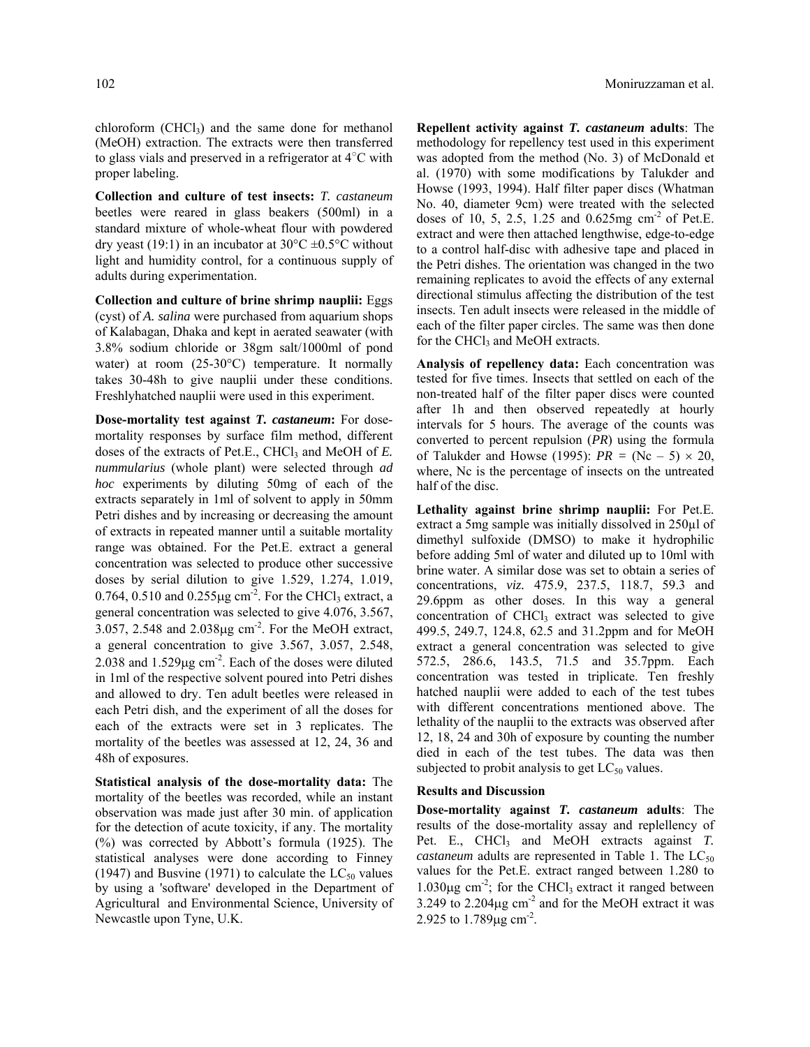chloroform  $(CHCl<sub>3</sub>)$  and the same done for methanol (MeOH) extraction. The extracts were then transferred to glass vials and preserved in a refrigerator at 4○ C with proper labeling.

**Collection and culture of test insects:** *T. castaneum*  beetles were reared in glass beakers (500ml) in a standard mixture of whole-wheat flour with powdered dry yeast (19:1) in an incubator at  $30^{\circ}$ C  $\pm$ 0.5°C without light and humidity control, for a continuous supply of adults during experimentation.

**Collection and culture of brine shrimp nauplii:** Eggs (cyst) of *A. salina* were purchased from aquarium shops of Kalabagan, Dhaka and kept in aerated seawater (with 3.8% sodium chloride or 38gm salt/1000ml of pond water) at room (25-30°C) temperature. It normally takes 30-48h to give nauplii under these conditions. Freshlyhatched nauplii were used in this experiment.

**Dose-mortality test against** *T. castaneum***:** For dosemortality responses by surface film method, different doses of the extracts of Pet.E., CHCl<sub>3</sub> and MeOH of *E*. *nummularius* (whole plant) were selected through *ad hoc* experiments by diluting 50mg of each of the extracts separately in 1ml of solvent to apply in 50mm Petri dishes and by increasing or decreasing the amount of extracts in repeated manner until a suitable mortality range was obtained. For the Pet.E. extract a general concentration was selected to produce other successive doses by serial dilution to give 1.529, 1.274, 1.019, 0.764, 0.510 and 0.255 $\mu$ g cm<sup>-2</sup>. For the CHCl<sub>3</sub> extract, a general concentration was selected to give 4.076, 3.567, 3.057, 2.548 and 2.038µg cm-2. For the MeOH extract, a general concentration to give 3.567, 3.057, 2.548,  $2.038$  and  $1.529\mu$ g cm<sup>-2</sup>. Each of the doses were diluted in 1ml of the respective solvent poured into Petri dishes and allowed to dry. Ten adult beetles were released in each Petri dish, and the experiment of all the doses for each of the extracts were set in 3 replicates. The mortality of the beetles was assessed at 12, 24, 36 and 48h of exposures.

**Statistical analysis of the dose-mortality data:** The mortality of the beetles was recorded, while an instant observation was made just after 30 min. of application for the detection of acute toxicity, if any. The mortality (%) was corrected by Abbott's formula (1925). The statistical analyses were done according to Finney (1947) and Busvine (1971) to calculate the  $LC_{50}$  values by using a 'software' developed in the Department of Agricultural and Environmental Science, University of Newcastle upon Tyne, U.K.

**Repellent activity against** *T. castaneum* **adults**: The methodology for repellency test used in this experiment was adopted from the method (No. 3) of McDonald et al. (1970) with some modifications by Talukder and Howse (1993, 1994). Half filter paper discs (Whatman No. 40, diameter 9cm) were treated with the selected doses of 10, 5, 2.5, 1.25 and 0.625mg cm-2 of Pet.E. extract and were then attached lengthwise, edge-to-edge to a control half-disc with adhesive tape and placed in the Petri dishes. The orientation was changed in the two remaining replicates to avoid the effects of any external directional stimulus affecting the distribution of the test insects. Ten adult insects were released in the middle of each of the filter paper circles. The same was then done for the CHCl<sub>3</sub> and MeOH extracts.

**Analysis of repellency data:** Each concentration was tested for five times. Insects that settled on each of the non-treated half of the filter paper discs were counted after 1h and then observed repeatedly at hourly intervals for 5 hours. The average of the counts was converted to percent repulsion (*PR*) using the formula of Talukder and Howse (1995):  $PR = (Nc - 5) \times 20$ , where, Nc is the percentage of insects on the untreated half of the disc.

**Lethality against brine shrimp nauplii:** For Pet.E. extract a 5mg sample was initially dissolved in 250µl of dimethyl sulfoxide (DMSO) to make it hydrophilic before adding 5ml of water and diluted up to 10ml with brine water. A similar dose was set to obtain a series of concentrations, *viz.* 475.9, 237.5, 118.7, 59.3 and 29.6ppm as other doses. In this way a general concentration of  $CHCl<sub>3</sub>$  extract was selected to give 499.5, 249.7, 124.8, 62.5 and 31.2ppm and for MeOH extract a general concentration was selected to give 572.5, 286.6, 143.5, 71.5 and 35.7ppm. Each concentration was tested in triplicate. Ten freshly hatched nauplii were added to each of the test tubes with different concentrations mentioned above. The lethality of the nauplii to the extracts was observed after 12, 18, 24 and 30h of exposure by counting the number died in each of the test tubes. The data was then subjected to probit analysis to get  $LC_{50}$  values.

## **Results and Discussion**

**Dose-mortality against** *T. castaneum* **adults**: The results of the dose-mortality assay and replellency of Pet. E., CHCl<sub>3</sub> and MeOH extracts against *T*. *castaneum* adults are represented in Table 1. The  $LC_{50}$ values for the Pet.E. extract ranged between 1.280 to 1.030 $\mu$ g cm<sup>-2</sup>; for the CHCl<sub>3</sub> extract it ranged between 3.249 to  $2.204\mu$ g cm<sup>-2</sup> and for the MeOH extract it was 2.925 to 1.789µg cm-2.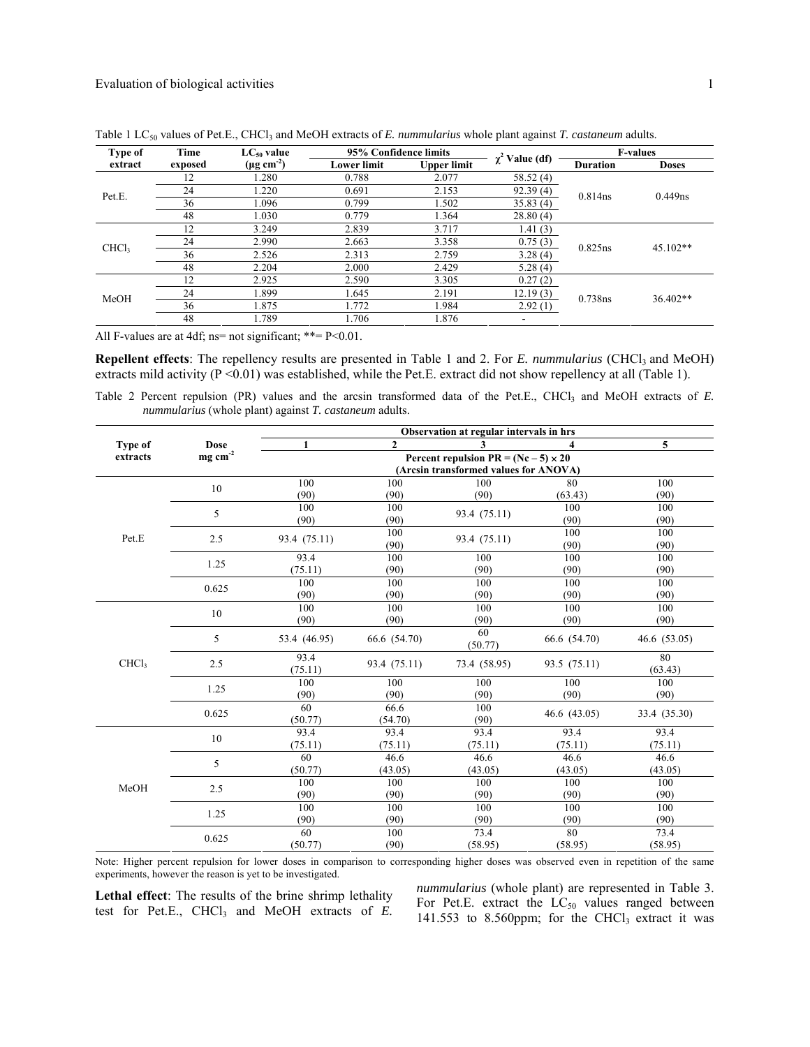| Type of           | Time    | $LC_{50}$ value           | 95% Confidence limits |                    | $\chi^2$ Value (df)    | <b>F-values</b> |              |
|-------------------|---------|---------------------------|-----------------------|--------------------|------------------------|-----------------|--------------|
| extract           | exposed | $(\mu g \text{ cm}^{-2})$ | <b>Lower limit</b>    | <b>Upper limit</b> |                        | <b>Duration</b> | <b>Doses</b> |
| Pet.E.            | 12      | 1.280                     | 0.788                 | 2.077              | 58.52(4)               |                 | $0.449$ ns   |
|                   | 24      | 1.220                     | 0.691                 | 2.153              | $\overline{92.39(4)}$  | $0.814$ ns      |              |
|                   | 36      | 1.096                     | 0.799                 | 1.502              | $\overline{35.83}$ (4) |                 |              |
|                   | 48      | 1.030                     | 0.779                 | 1.364              | 28.80(4)               |                 |              |
| CHCl <sub>3</sub> | 12      | 3.249                     | 2.839                 | 3.717              | 1.41(3)                | 0.825ns         | $45.102**$   |
|                   | 24      | 2.990                     | 2.663                 | 3.358              | 0.75(3)                |                 |              |
|                   | 36      | 2.526                     | 2.313                 | 2.759              | 3.28(4)                |                 |              |
|                   | 48      | 2.204                     | 2.000                 | 2.429              | 5.28(4)                |                 |              |
| MeOH              | 12      | 2.925                     | 2.590                 | 3.305              | 0.27(2)                |                 | 36.402**     |
|                   | 24      | 1.899                     | 1.645                 | 2.191              | 12.19(3)               | 0.738ns         |              |
|                   | 36      | 1.875                     | 1.772                 | 1.984              | 2.92(1)                |                 |              |
|                   | 48      | 1.789                     | 1.706                 | 1.876              |                        |                 |              |

Table 1 LC<sub>50</sub> values of Pet.E., CHCl<sub>3</sub> and MeOH extracts of *E. nummularius* whole plant against *T. castaneum* adults.

All F-values are at 4df; ns= not significant; \*\*=  $P \le 0.01$ .

**Repellent effects**: The repellency results are presented in Table 1 and 2. For *E. nummularius* (CHCl<sub>3</sub> and MeOH) extracts mild activity  $(P \le 0.01)$  was established, while the Pet.E. extract did not show repellency at all (Table 1).

Table 2 Percent repulsion (PR) values and the arcsin transformed data of the Pet.E., CHCl<sub>3</sub> and MeOH extracts of *E. nummularius* (whole plant) against *T. castaneum* adults.

|                   |                                        | Observation at regular intervals in hrs     |                |               |              |               |  |  |
|-------------------|----------------------------------------|---------------------------------------------|----------------|---------------|--------------|---------------|--|--|
| Type of           | Dose                                   | $\mathbf{1}$                                | $\overline{2}$ | 3             | 4            | 5             |  |  |
| extracts          | $\mathbf{mg}\ \mathbf{cm}^{\text{-2}}$ | Percent repulsion $PR = (Nc - 5) \times 20$ |                |               |              |               |  |  |
|                   |                                        | (Arcsin transformed values for ANOVA)       |                |               |              |               |  |  |
|                   | 10                                     | 100                                         | 100            | 100           | 80           | 100           |  |  |
|                   |                                        | (90)                                        | (90)           | (90)          | (63.43)      | (90)          |  |  |
|                   | 5                                      | 100                                         | 100            | 93.4 (75.11)  | 100          | 100           |  |  |
|                   |                                        | (90)                                        | (90)           |               | (90)         | (90)          |  |  |
| Pet.E             | 2.5                                    | 100<br>93.4 (75.11)                         |                | 93.4 (75.11)  | 100          | 100           |  |  |
|                   |                                        |                                             | (90)           |               | (90)         | (90)          |  |  |
|                   | 1.25                                   | 93.4                                        | 100            | 100           | 100          | 100           |  |  |
|                   |                                        | (75.11)                                     | (90)           | (90)          | (90)         | (90)          |  |  |
|                   | 0.625                                  | 100                                         | 100            | 100           | 100          | 100           |  |  |
|                   |                                        | (90)                                        | (90)           | (90)          | (90)         | (90)          |  |  |
|                   | 10                                     | 100                                         | 100            | 100           | 100          | 100           |  |  |
|                   |                                        | (90)                                        | (90)           | (90)          | (90)         | (90)          |  |  |
|                   | 5                                      | 53.4 (46.95)                                | 66.6 (54.70)   | 60<br>(50.77) | 66.6 (54.70) | 46.6(53.05)   |  |  |
| CHCl <sub>3</sub> | 2.5                                    | 93.4<br>(75.11)                             | 93.4 (75.11)   | 73.4 (58.95)  | 93.5 (75.11) | 80<br>(63.43) |  |  |
|                   | 1.25                                   | 100                                         | 100            | 100           | 100          | 100           |  |  |
|                   |                                        | (90)                                        | (90)           | (90)          | (90)         | (90)          |  |  |
|                   | 0.625                                  | 60                                          | 66.6           | 100           | 46.6(43.05)  | 33.4 (35.30)  |  |  |
|                   |                                        | (50.77)                                     | (54.70)        | (90)          |              |               |  |  |
|                   | 10                                     | 93.4                                        | 93.4           | 93.4          | 93.4         | 93.4          |  |  |
|                   |                                        | (75.11)                                     | (75.11)        | (75.11)       | (75.11)      | (75.11)       |  |  |
|                   | 5                                      | 60                                          | 46.6           | 46.6          | 46.6         | 46.6          |  |  |
|                   |                                        | (50.77)                                     | (43.05)        | (43.05)       | (43.05)      | (43.05)       |  |  |
| MeOH              | 2.5                                    | 100                                         | 100            | 100           | 100          | 100           |  |  |
|                   |                                        | (90)                                        | (90)           | (90)          | (90)         | (90)          |  |  |
|                   | 1.25                                   | 100                                         | 100            | 100           | 100          | 100           |  |  |
|                   |                                        | (90)                                        | (90)           | (90)          | (90)         | (90)          |  |  |
|                   | 0.625                                  | 60                                          | 100            | 73.4          | 80           | 73.4          |  |  |
|                   |                                        | (50.77)                                     | (90)           | (58.95)       | (58.95)      | (58.95)       |  |  |

Note: Higher percent repulsion for lower doses in comparison to corresponding higher doses was observed even in repetition of the same experiments, however the reason is yet to be investigated.

**Lethal effect**: The results of the brine shrimp lethality test for Pet.E.,  $CHCl<sub>3</sub>$  and MeOH extracts of  $E$ . *nummularius* (whole plant) are represented in Table 3. For Pet.E. extract the  $LC_{50}$  values ranged between 141.553 to 8.560ppm; for the CHCl<sub>3</sub> extract it was